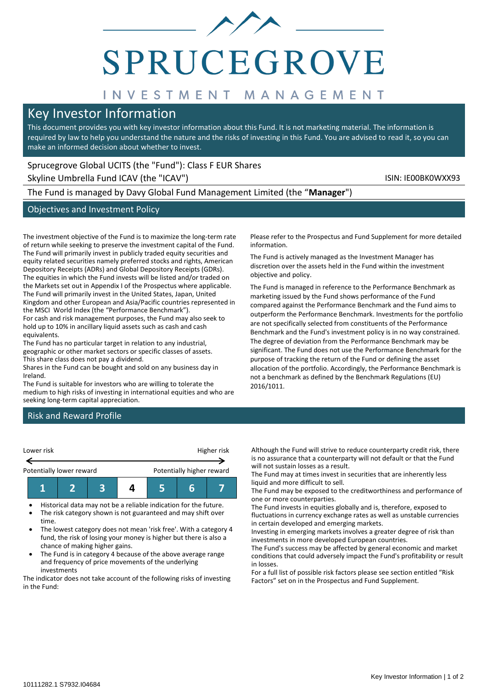

# **SPRUCEGROVE**

# INVESTMENT MANAGEMENT

# Key Investor Information

This document provides you with key investor information about this Fund. It is not marketing material. The information is required by law to help you understand the nature and the risks of investing in this Fund. You are advised to read it, so you can make an informed decision about whether to invest.

# Sprucegrove Global UCITS (the "Fund"): Class F EUR Shares

Skyline Umbrella Fund ICAV (the "ICAV") Skyline Umbrella Fund ICAV (the "ICAV")

The Fund is managed by Davy Global Fund Management Limited (the "**Manager**")

# Objectives and Investment Policy

The investment objective of the Fund is to maximize the long-term rate of return while seeking to preserve the investment capital of the Fund. The Fund will primarily invest in publicly traded equity securities and equity related securities namely preferred stocks and rights, American Depository Receipts (ADRs) and Global Depository Receipts (GDRs). The equities in which the Fund invests will be listed and/or traded on the Markets set out in Appendix I of the Prospectus where applicable. The Fund will primarily invest in the United States, Japan, United Kingdom and other European and Asia/Pacific countries represented in the MSCI World Index (the "Performance Benchmark").

For cash and risk management purposes, the Fund may also seek to hold up to 10% in ancillary liquid assets such as cash and cash equivalents.

The Fund has no particular target in relation to any industrial, geographic or other market sectors or specific classes of assets. This share class does not pay a dividend.

Shares in the Fund can be bought and sold on any business day in Ireland.

The Fund is suitable for investors who are willing to tolerate the medium to high risks of investing in international equities and who are seeking long-term capital appreciation.

Please refer to the Prospectus and Fund Supplement for more detailed information.

The Fund is actively managed as the Investment Manager has discretion over the assets held in the Fund within the investment objective and policy.

The Fund is managed in reference to the Performance Benchmark as marketing issued by the Fund shows performance of the Fund compared against the Performance Benchmark and the Fund aims to outperform the Performance Benchmark. Investments for the portfolio are not specifically selected from constituents of the Performance Benchmark and the Fund's investment policy is in no way constrained. The degree of deviation from the Performance Benchmark may be significant. The Fund does not use the Performance Benchmark for the purpose of tracking the return of the Fund or defining the asset allocation of the portfolio. Accordingly, the Performance Benchmark is not a benchmark as defined by the Benchmark Regulations (EU) 2016/1011.

# Risk and Reward Profile



• Historical data may not be a reliable indication for the future. • The risk category shown is not guaranteed and may shift over

- time. • The lowest category does not mean 'risk free'. With a category 4
- fund, the risk of losing your money is higher but there is also a chance of making higher gains.
- The Fund is in category 4 because of the above average range and frequency of price movements of the underlying investments

The indicator does not take account of the following risks of investing in the Fund:

Although the Fund will strive to reduce counterparty credit risk, there is no assurance that a counterparty will not default or that the Fund will not sustain losses as a result.

The Fund may at times invest in securities that are inherently less liquid and more difficult to sell.

The Fund may be exposed to the creditworthiness and performance of one or more counterparties.

The Fund invests in equities globally and is, therefore, exposed to fluctuations in currency exchange rates as well as unstable currencies in certain developed and emerging markets.

Investing in emerging markets involves a greater degree of risk than investments in more developed European countries.

The Fund's success may be affected by general economic and market conditions that could adversely impact the Fund's profitability or result in losses.

For a full list of possible risk factors please see section entitled "Risk Factors" set on in the Prospectus and Fund Supplement.